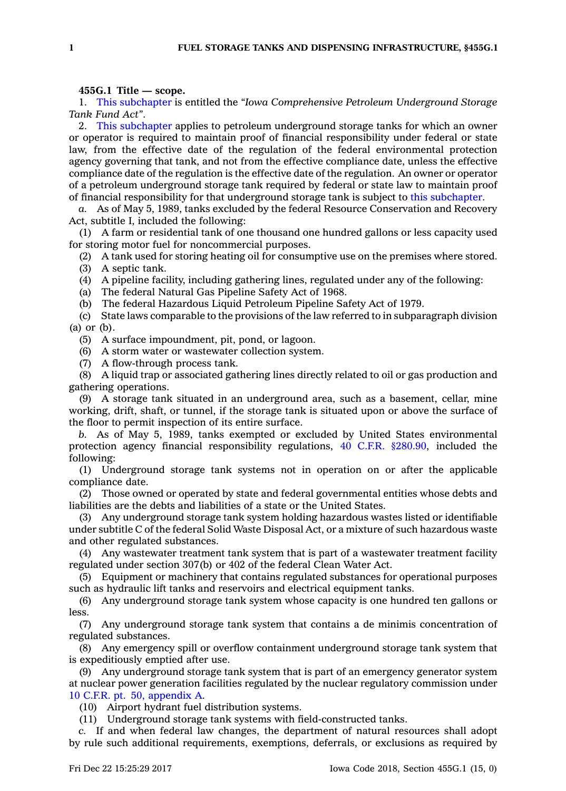## **455G.1 Title — scope.**

1. This [subchapter](https://www.legis.iowa.gov/docs/code//455G.pdf) is entitled the *"Iowa Comprehensive Petroleum Underground Storage Tank Fund Act"*.

2. This [subchapter](https://www.legis.iowa.gov/docs/code//455G.pdf) applies to petroleum underground storage tanks for which an owner or operator is required to maintain proof of financial responsibility under federal or state law, from the effective date of the regulation of the federal environmental protection agency governing that tank, and not from the effective compliance date, unless the effective compliance date of the regulation is the effective date of the regulation. An owner or operator of <sup>a</sup> petroleum underground storage tank required by federal or state law to maintain proof of financial responsibility for that underground storage tank is subject to this [subchapter](https://www.legis.iowa.gov/docs/code//455G.pdf).

*a.* As of May 5, 1989, tanks excluded by the federal Resource Conservation and Recovery Act, subtitle I, included the following:

(1) A farm or residential tank of one thousand one hundred gallons or less capacity used for storing motor fuel for noncommercial purposes.

(2) A tank used for storing heating oil for consumptive use on the premises where stored.

(3) A septic tank.

(4) A pipeline facility, including gathering lines, regulated under any of the following:

(a) The federal Natural Gas Pipeline Safety Act of 1968.

(b) The federal Hazardous Liquid Petroleum Pipeline Safety Act of 1979.

(c) State laws comparable to the provisions of the law referred to in subparagraph division (a) or (b).

(5) A surface impoundment, pit, pond, or lagoon.

(6) A storm water or wastewater collection system.

(7) A flow-through process tank.

(8) A liquid trap or associated gathering lines directly related to oil or gas production and gathering operations.

(9) A storage tank situated in an underground area, such as <sup>a</sup> basement, cellar, mine working, drift, shaft, or tunnel, if the storage tank is situated upon or above the surface of the floor to permit inspection of its entire surface.

*b.* As of May 5, 1989, tanks exempted or excluded by United States environmental protection agency financial responsibility regulations, 40 C.F.R. [§280.90](https://www.law.cornell.edu/cfr/text/40/280.90), included the following:

(1) Underground storage tank systems not in operation on or after the applicable compliance date.

(2) Those owned or operated by state and federal governmental entities whose debts and liabilities are the debts and liabilities of <sup>a</sup> state or the United States.

(3) Any underground storage tank system holding hazardous wastes listed or identifiable under subtitle C of the federal Solid Waste Disposal Act, or <sup>a</sup> mixture of such hazardous waste and other regulated substances.

(4) Any wastewater treatment tank system that is part of <sup>a</sup> wastewater treatment facility regulated under section 307(b) or 402 of the federal Clean Water Act.

(5) Equipment or machinery that contains regulated substances for operational purposes such as hydraulic lift tanks and reservoirs and electrical equipment tanks.

(6) Any underground storage tank system whose capacity is one hundred ten gallons or less.

(7) Any underground storage tank system that contains <sup>a</sup> de minimis concentration of regulated substances.

(8) Any emergency spill or overflow containment underground storage tank system that is expeditiously emptied after use.

(9) Any underground storage tank system that is part of an emergency generator system at nuclear power generation facilities regulated by the nuclear regulatory commission under 10 C.F.R. pt. 50, [appendix](https://www.law.cornell.edu/cfr/text/10/part-50) A.

(10) Airport hydrant fuel distribution systems.

(11) Underground storage tank systems with field-constructed tanks.

*c.* If and when federal law changes, the department of natural resources shall adopt by rule such additional requirements, exemptions, deferrals, or exclusions as required by